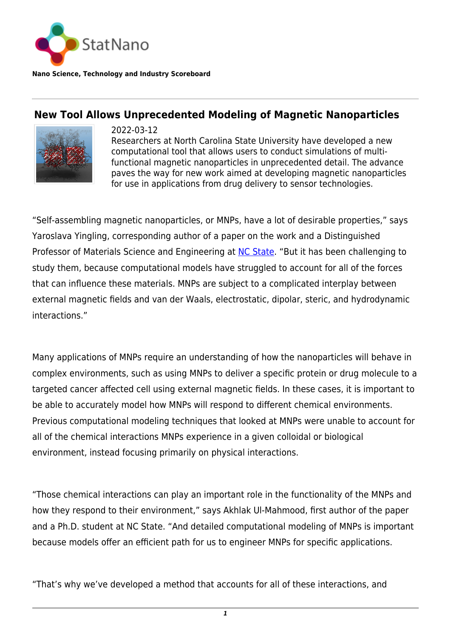

**Nano Science, Technology and Industry Scoreboard**

## **New Tool Allows Unprecedented Modeling of Magnetic Nanoparticles**



2022-03-12 Researchers at North Carolina State University have developed a new computational tool that allows users to conduct simulations of multifunctional magnetic nanoparticles in unprecedented detail. The advance paves the way for new work aimed at developing magnetic nanoparticles for use in applications from drug delivery to sensor technologies.

"Self-assembling magnetic nanoparticles, or MNPs, have a lot of desirable properties," says Yaroslava Yingling, corresponding author of a paper on the work and a Distinguished Professor of Materials Science and Engineering at [NC State](https://statnano.com/org/North-Carolina-State-University). "But it has been challenging to study them, because computational models have struggled to account for all of the forces that can influence these materials. MNPs are subject to a complicated interplay between external magnetic fields and van der Waals, electrostatic, dipolar, steric, and hydrodynamic interactions."

Many applications of MNPs require an understanding of how the nanoparticles will behave in complex environments, such as using MNPs to deliver a specific protein or drug molecule to a targeted cancer affected cell using external magnetic fields. In these cases, it is important to be able to accurately model how MNPs will respond to different chemical environments. Previous computational modeling techniques that looked at MNPs were unable to account for all of the chemical interactions MNPs experience in a given colloidal or biological environment, instead focusing primarily on physical interactions.

"Those chemical interactions can play an important role in the functionality of the MNPs and how they respond to their environment," says Akhlak Ul-Mahmood, first author of the paper and a Ph.D. student at NC State. "And detailed computational modeling of MNPs is important because models offer an efficient path for us to engineer MNPs for specific applications.

"That's why we've developed a method that accounts for all of these interactions, and